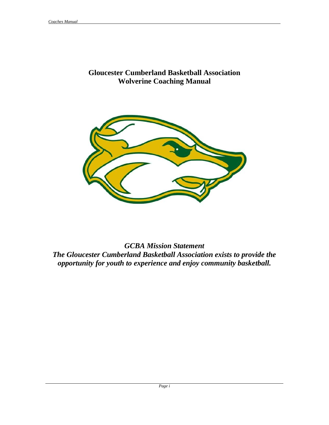### **Gloucester Cumberland Basketball Association Wolverine Coaching Manual**



*GCBA Mission Statement The Gloucester Cumberland Basketball Association exists to provide the opportunity for youth to experience and enjoy community basketball.*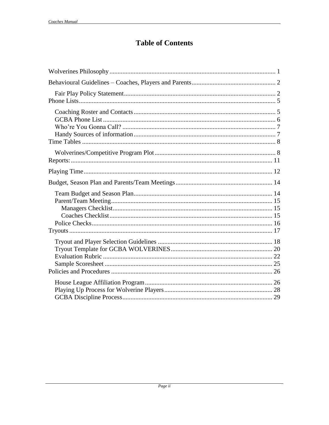## **Table of Contents**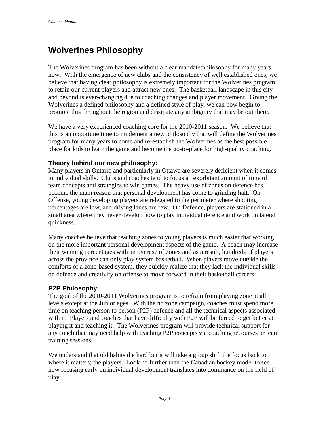# <span id="page-2-0"></span>**Wolverines Philosophy**

The Wolverines program has been without a clear mandate/philosophy for many years now. With the emergence of new clubs and the consistency of well established ones, we believe that having clear philosophy is extremely important for the Wolverines program to retain our current players and attract new ones. The basketball landscape in this city and beyond is ever-changing due to coaching changes and player movement. Giving the Wolverines a defined philosophy and a defined style of play, we can now begin to promote this throughout the region and dissipate any ambiguity that may be out there.

We have a very experienced coaching core for the 2010-2011 season. We believe that this is an opportune time to implement a new philosophy that will define the Wolverines program for many years to come and re-establish the Wolverines as the best possible place for kids to learn the game and become the go-to-place for high-quality coaching.

### **Theory behind our new philosophy:**

Many players in Ontario and particularly in Ottawa are severely deficient when it comes to individual skills. Clubs and coaches tend to focus an exorbitant amount of time of team concepts and strategies to win games. The heavy use of zones on defence has become the main reason that personal development has come to grinding halt. On Offense, young developing players are relegated to the perimeter where shooting percentages are low, and driving lanes are few. On Defence, players are stationed in a small area where they never develop how to play individual defence and work on lateral quickness.

Many coaches believe that teaching zones to young players is much easier that working on the more important personal development aspects of the game. A coach may increase their winning percentages with an overuse of zones and as a result, hundreds of players across the province can only play system basketball. When players move outside the comforts of a zone-based system, they quickly realize that they lack the individual skills on defence and creativity on offense to move forward in their basketball careers.

### **P2P Philosophy:**

The goal of the 2010-2011 Wolverines program is to refrain from playing zone at all levels except at the Junior ages. With the no zone campaign, coaches must spend more time on teaching person to person (P2P) defence and all the technical aspects associated with it. Players and coaches that have difficulty with P2P will be forced to get better at playing it and teaching it. The Wolverines program will provide technical support for any coach that may need help with teaching P2P concepts via coaching recourses or team training sessions.

We understand that old habits die hard but it will take a group shift the focus back to where it matters; the players. Look no further than the Canadian hockey model to see how focusing early on individual development translates into dominance on the field of play.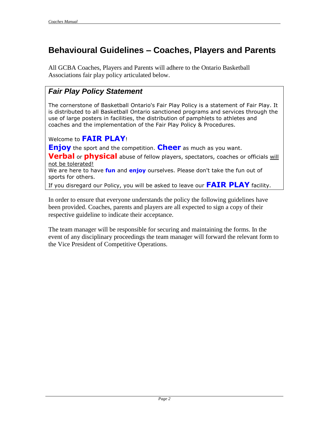# <span id="page-3-0"></span>**Behavioural Guidelines – Coaches, Players and Parents**

All GCBA Coaches, Players and Parents will adhere to the Ontario Basketball Associations fair play policy articulated below.

## <span id="page-3-1"></span>*Fair Play Policy Statement*

The cornerstone of Basketball Ontario's Fair Play Policy is a statement of Fair Play. It is distributed to all Basketball Ontario sanctioned programs and services through the use of large posters in facilities, the distribution of pamphlets to athletes and coaches and the implementation of the Fair Play Policy & Procedures.

### Welcome to **FAIR PLAY**!

**Enjoy** the sport and the competition. **Cheer** as much as you want.

**Verbal** or **physical** abuse of fellow players, spectators, coaches or officials will not be tolerated!

We are here to have **fun** and **enjoy** ourselves. Please don't take the fun out of sports for others.

If you disregard our Policy, you will be asked to leave our **FAIR PLAY** facility.

In order to ensure that everyone understands the policy the following guidelines have been provided. Coaches, parents and players are all expected to sign a copy of their respective guideline to indicate their acceptance.

The team manager will be responsible for securing and maintaining the forms. In the event of any disciplinary proceedings the team manager will forward the relevant form to the Vice President of Competitive Operations.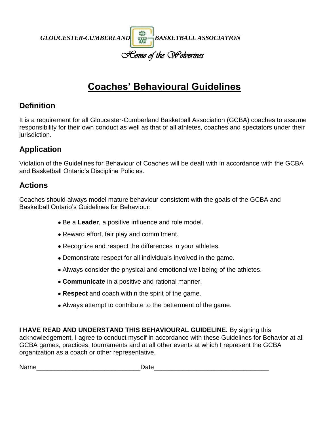

# **Coaches' Behavioural Guidelines**

## **Definition**

It is a requirement for all Gloucester-Cumberland Basketball Association (GCBA) coaches to assume responsibility for their own conduct as well as that of all athletes, coaches and spectators under their jurisdiction.

## **Application**

Violation of the Guidelines for Behaviour of Coaches will be dealt with in accordance with the GCBA and Basketball Ontario's Discipline Policies.

## **Actions**

Coaches should always model mature behaviour consistent with the goals of the GCBA and Basketball Ontario's Guidelines for Behaviour:

- Be a **Leader**, a positive influence and role model.
- Reward effort, fair play and commitment.
- Recognize and respect the differences in your athletes.
- Demonstrate respect for all individuals involved in the game.
- Always consider the physical and emotional well being of the athletes.
- **Communicate** in a positive and rational manner.
- **Respect** and coach within the spirit of the game.
- Always attempt to contribute to the betterment of the game.

**I HAVE READ AND UNDERSTAND THIS BEHAVIOURAL GUIDELINE.** By signing this acknowledgement, I agree to conduct myself in accordance with these Guidelines for Behavior at all GCBA games, practices, tournaments and at all other events at which I represent the GCBA organization as a coach or other representative.

Name the contract of the contract of  $\Gamma$  Date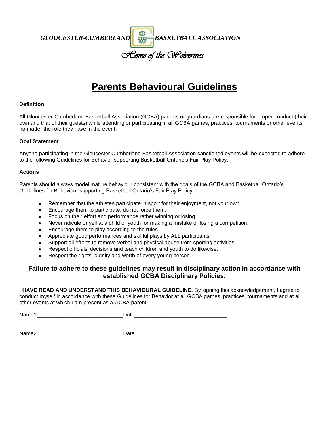*GLOUCESTER-CUMBERLAND* **BASKETBALL ASSOCIATION** 

*Home of the Wolverines*

# **Parents Behavioural Guidelines**

#### **Definition**

All Gloucester-Cumberland Basketball Association (GCBA) parents or guardians are responsible for proper conduct (their own and that of their guests) while attending or participating in all GCBA games, practices, tournaments or other events, no matter the role they have in the event.

#### **Goal Statement**

Anyone participating in the Gloucester Cumberland Basketball Association sanctioned events will be expected to adhere to the following Guidelines for Behavior supporting Basketball Ontario's Fair Play Policy:

#### **Actions**

Parents should always model mature behaviour consistent with the goals of the GCBA and Basketball Ontario's Guidelines for Behaviour supporting Basketball Ontario's Fair Play Policy:

- Remember that the athletes participate in sport for their enjoyment, not your own.
- Encourage them to participate, do not force them.  $\bullet$
- Focus on their effort and performance rather winning or losing.
- Never ridicule or yell at a child or youth for making a mistake or losing a competition.
- Encourage them to play according to the rules.
- Appreciate good performances and skillful plays by ALL participants.
- Support all efforts to remove verbal and physical abuse from sporting activities.  $\bullet$
- Respect officials' decisions and teach children and youth to do likewise.
- $\bullet$ Respect the rights, dignity and worth of every young person.

#### **Failure to adhere to these guidelines may result in disciplinary action in accordance with established GCBA Disciplinary Policies.**

**I HAVE READ AND UNDERSTAND THIS BEHAVIOURAL GUIDELINE.** By signing this acknowledgement, I agree to conduct myself in accordance with these Guidelines for Behavior at all GCBA games, practices, tournaments and at all other events at which I am present as a GCBA parent.

Name1\_\_\_\_\_\_\_\_\_\_\_\_\_\_\_\_\_\_\_\_\_\_\_\_\_\_\_\_\_Date\_\_\_\_\_\_\_\_\_\_\_\_\_\_\_\_\_\_\_\_\_\_\_\_\_\_\_\_\_\_\_

Name2\_\_\_\_\_\_\_\_\_\_\_\_\_\_\_\_\_\_\_\_\_\_\_\_\_\_\_\_\_Date\_\_\_\_\_\_\_\_\_\_\_\_\_\_\_\_\_\_\_\_\_\_\_\_\_\_\_\_\_\_\_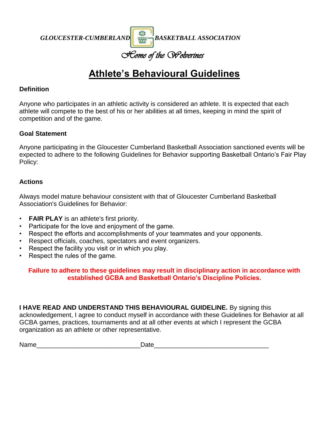*GLOUCESTER-CUMBERLAND* **BASKETBALL ASSOCIATION** 

## *Home of the Wolverines*

# **Athlete's Behavioural Guidelines**

### **Definition**

Anyone who participates in an athletic activity is considered an athlete. It is expected that each athlete will compete to the best of his or her abilities at all times, keeping in mind the spirit of competition and of the game.

### **Goal Statement**

Anyone participating in the Gloucester Cumberland Basketball Association sanctioned events will be expected to adhere to the following Guidelines for Behavior supporting Basketball Ontario's Fair Play Policy:

### **Actions**

Always model mature behaviour consistent with that of Gloucester Cumberland Basketball Association's Guidelines for Behavior:

- **FAIR PLAY** is an athlete's first priority.
- Participate for the love and enjoyment of the game.
- Respect the efforts and accomplishments of your teammates and your opponents.
- Respect officials, coaches, spectators and event organizers.
- Respect the facility you visit or in which you play.
- Respect the rules of the game.

### **Failure to adhere to these guidelines may result in disciplinary action in accordance with established GCBA and Basketball Ontario's Discipline Policies.**

**I HAVE READ AND UNDERSTAND THIS BEHAVIOURAL GUIDELINE.** By signing this acknowledgement, I agree to conduct myself in accordance with these Guidelines for Behavior at all GCBA games, practices, tournaments and at all other events at which I represent the GCBA organization as an athlete or other representative.

Name\_\_\_\_\_\_\_\_\_\_\_\_\_\_\_\_\_\_\_\_\_\_\_\_\_\_\_\_\_Date\_\_\_\_\_\_\_\_\_\_\_\_\_\_\_\_\_\_\_\_\_\_\_\_\_\_\_\_\_\_\_\_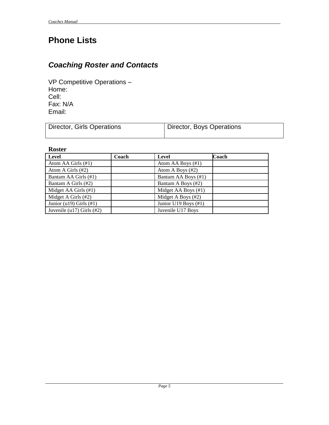# <span id="page-7-0"></span>**Phone Lists**

## <span id="page-7-1"></span>*Coaching Roster and Contacts*

VP Competitive Operations – Home: Cell: Fax: N/A Email:

| Director, Girls Operations | Director, Boys Operations |
|----------------------------|---------------------------|
|                            |                           |

**Roster**

| Level                        | Coach | Level                | Coach |
|------------------------------|-------|----------------------|-------|
| Atom AA Girls (#1)           |       | Atom AA Boys (#1)    |       |
| Atom A Girls (#2)            |       | Atom A Boys (#2)     |       |
| Bantam AA Girls (#1)         |       | Bantam AA Boys (#1)  |       |
| Bantam A Girls (#2)          |       | Bantam A Boys (#2)   |       |
| Midget AA Girls (#1)         |       | Midget AA Boys (#1)  |       |
| Midget A Girls (#2)          |       | Midget A Boys (#2)   |       |
| Junior (u19) Girls $(\#1)$   |       | Junior U19 Boys (#1) |       |
| Juvenile (u17) Girls $(\#2)$ |       | Juvenile U17 Boys    |       |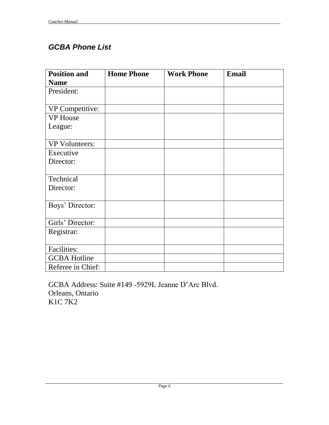## <span id="page-8-0"></span>*GCBA Phone List*

| <b>Position and</b>   | <b>Home Phone</b> | <b>Work Phone</b> | <b>Email</b> |
|-----------------------|-------------------|-------------------|--------------|
| <b>Name</b>           |                   |                   |              |
| President:            |                   |                   |              |
|                       |                   |                   |              |
| VP Competitive:       |                   |                   |              |
| <b>VP</b> House       |                   |                   |              |
| League:               |                   |                   |              |
|                       |                   |                   |              |
| <b>VP Volunteers:</b> |                   |                   |              |
| Executive             |                   |                   |              |
| Director:             |                   |                   |              |
|                       |                   |                   |              |
| Technical             |                   |                   |              |
| Director:             |                   |                   |              |
|                       |                   |                   |              |
| Boys' Director:       |                   |                   |              |
|                       |                   |                   |              |
| Girls' Director:      |                   |                   |              |
| Registrar:            |                   |                   |              |
|                       |                   |                   |              |
| <b>Facilities:</b>    |                   |                   |              |
| <b>GCBA Hotline</b>   |                   |                   |              |
| Referee in Chief:     |                   |                   |              |

GCBA Address: Suite #149 -5929L Jeanne D'Arc Blvd. Orleans, Ontario K1C 7K2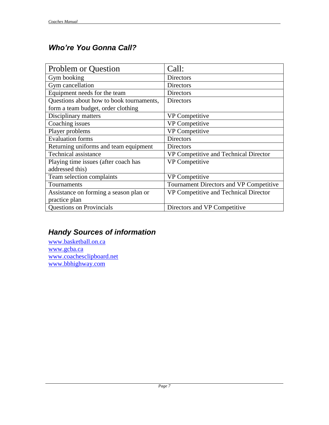## <span id="page-9-0"></span>*Who're You Gonna Call?*

| <b>Problem or Question</b>               | Call:                                   |
|------------------------------------------|-----------------------------------------|
| Gym booking                              | Directors                               |
| Gym cancellation                         | <b>Directors</b>                        |
| Equipment needs for the team             | <b>Directors</b>                        |
| Questions about how to book tournaments, | <b>Directors</b>                        |
| form a team budget, order clothing       |                                         |
| Disciplinary matters                     | VP Competitive                          |
| Coaching issues                          | <b>VP</b> Competitive                   |
| Player problems                          | VP Competitive                          |
| <b>Evaluation</b> forms                  | <b>Directors</b>                        |
| Returning uniforms and team equipment    | Directors                               |
| Technical assistance                     | VP Competitive and Technical Director   |
| Playing time issues (after coach has     | <b>VP</b> Competitive                   |
| addressed this)                          |                                         |
| Team selection complaints                | <b>VP</b> Competitive                   |
| Tournaments                              | Tournament Directors and VP Competitive |
| Assistance on forming a season plan or   | VP Competitive and Technical Director   |
| practice plan                            |                                         |
| <b>Questions on Provincials</b>          | Directors and VP Competitive            |

## <span id="page-9-1"></span>*Handy Sources of information*

[www.basketball.on.ca](http://www.basketball.on.ca/) [www.gcba.ca](http://www.gcba.ca/) [www.coachesclipboard.net](http://www.coachesclipboard.net/) [www.bbhighway.com](http://www.bbhighway.com/)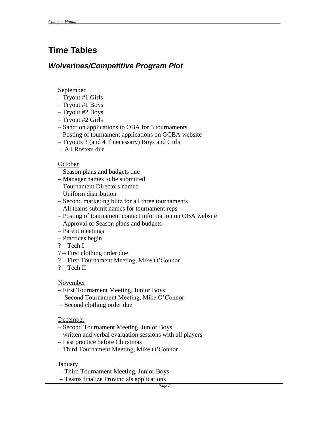# <span id="page-10-0"></span>**Time Tables**

### <span id="page-10-1"></span>*Wolverines/Competitive Program Plot*

#### September

- Tryout #1 Girls
- Tryout #1 Boys
- Tryout #2 Boys
- Tryout #2 Girls
- Sanction applications to OBA for 3 tournaments
- Posting of tournament applications on GCBA website
- Tryouts 3 (and 4 if necessary) Boys and Girls
- All Rosters due

#### October

- Season plans and budgets due
- Manager names to be submitted
- Tournament Directors named
- Uniform distribution
- Second marketing blitz for all three tournaments
- All teams submit names for tournament reps
- Posting of tournament contact information on OBA website
- Approval of Season plans and budgets
- Parent meetings
- Practices begin
- ? Tech I
- ? First clothing order due
- ? First Tournament Meeting, Mike O'Connor
- $?$  Tech II

#### November

- First Tournament Meeting, Junior Boys
- Second Tournament Meeting, Mike O'Connor
- Second clothing order due

### December

- Second Tournament Meeting, Junior Boys
- written and verbal evaluation sessions with all players
- Last practice before Chirstmas
- Third Tournament Meeting, Mike O'Connor

### January

- Third Tournament Meeting, Junior Boys
- Teams finalize Provincials applications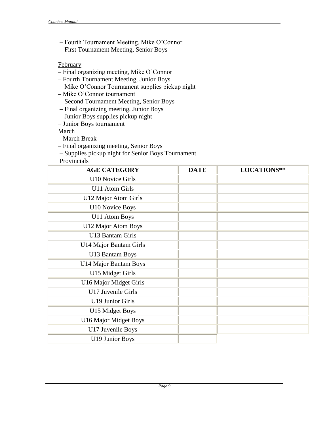- Fourth Tournament Meeting, Mike O'Connor
- First Tournament Meeting, Senior Boys

### **February**

- Final organizing meeting, Mike O'Connor
- Fourth Tournament Meeting, Junior Boys
- Mike O'Connor Tournament supplies pickup night
- Mike O'Connor tournament
- Second Tournament Meeting, Senior Boys
- Final organizing meeting, Junior Boys
- Junior Boys supplies pickup night
- Junior Boys tournament

March

- March Break
- Final organizing meeting, Senior Boys
- Supplies pickup night for Senior Boys Tournament

Provincials

| <b>AGE CATEGORY</b>     | <b>DATE</b> | LOCATIONS** |
|-------------------------|-------------|-------------|
| U10 Novice Girls        |             |             |
| U11 Atom Girls          |             |             |
| U12 Major Atom Girls    |             |             |
| <b>U10 Novice Boys</b>  |             |             |
| U11 Atom Boys           |             |             |
| U12 Major Atom Boys     |             |             |
| U13 Bantam Girls        |             |             |
| U14 Major Bantam Girls  |             |             |
| U13 Bantam Boys         |             |             |
| U14 Major Bantam Boys   |             |             |
| U15 Midget Girls        |             |             |
| U16 Major Midget Girls  |             |             |
| U17 Juvenile Girls      |             |             |
| <b>U19 Junior Girls</b> |             |             |
| U15 Midget Boys         |             |             |
| U16 Major Midget Boys   |             |             |
| U17 Juvenile Boys       |             |             |
| <b>U19 Junior Boys</b>  |             |             |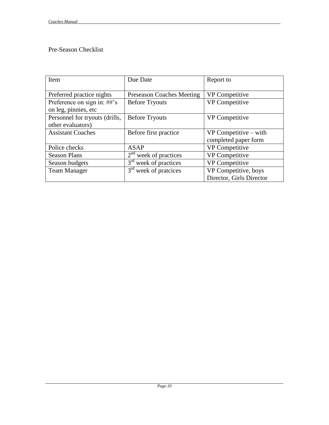### Pre-Season Checklist

| Item                           | Due Date                             | Report to                |
|--------------------------------|--------------------------------------|--------------------------|
|                                |                                      |                          |
| Preferred practice nights      | <b>Preseason Coaches Meeting</b>     | VP Competitive           |
| Preference on sign in: ##'s    | <b>Before Tryouts</b>                | VP Competitive           |
| on leg, pinnies, etc           |                                      |                          |
| Personnel for tryouts (drills, | <b>Before Tryouts</b>                | <b>VP</b> Competitive    |
| other evaluators)              |                                      |                          |
| <b>Assistant Coaches</b>       | Before first practice                | $VP$ Competitive – with  |
|                                |                                      | completed paper form     |
| Police checks                  | <b>ASAP</b>                          | VP Competitive           |
| <b>Season Plans</b>            | 2 <sup>nd</sup><br>week of practices | VP Competitive           |
| Season budgets                 | $3rd$ week of practices              | <b>VP</b> Competitive    |
| <b>Team Manager</b>            | $3rd$ week of pratcices              | VP Competitive, boys     |
|                                |                                      | Director, Girls Director |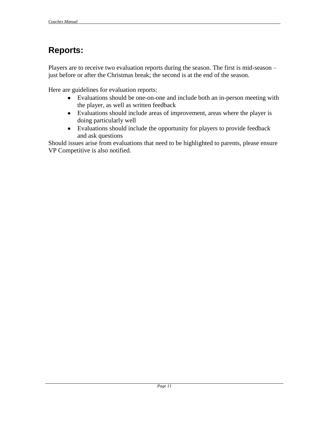# <span id="page-13-0"></span>**Reports:**

Players are to receive two evaluation reports during the season. The first is mid-season – just before or after the Christmas break; the second is at the end of the season.

Here are guidelines for evaluation reports:

- Evaluations should be one-on-one and include both an in-person meeting with the player, as well as written feedback
- Evaluations should include areas of improvement, areas where the player is doing particularly well
- Evaluations should include the opportunity for players to provide feedback and ask questions

Should issues arise from evaluations that need to be highlighted to parents, please ensure VP Competitive is also notified.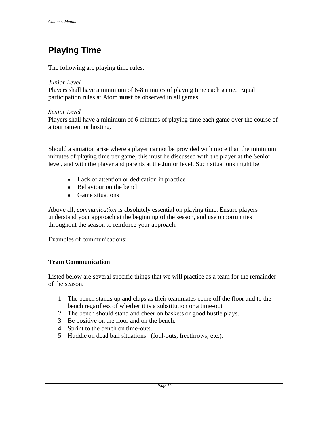# <span id="page-14-0"></span>**Playing Time**

The following are playing time rules:

#### *Junior Level*

Players shall have a minimum of 6-8 minutes of playing time each game. Equal participation rules at Atom **must** be observed in all games.

### *Senior Level*

Players shall have a minimum of 6 minutes of playing time each game over the course of a tournament or hosting.

Should a situation arise where a player cannot be provided with more than the minimum minutes of playing time per game, this must be discussed with the player at the Senior level, and with the player and parents at the Junior level. Such situations might be:

- Lack of attention or dedication in practice
- Behaviour on the bench
- Game situations

Above all, *communication* is absolutely essential on playing time. Ensure players understand your approach at the beginning of the season, and use opportunities throughout the season to reinforce your approach.

Examples of communications:

### **Team Communication**

Listed below are several specific things that we will practice as a team for the remainder of the season.

- 1. The bench stands up and claps as their teammates come off the floor and to the bench regardless of whether it is a substitution or a time-out.
- 2. The bench should stand and cheer on baskets or good hustle plays.
- 3. Be positive on the floor and on the bench.
- 4. Sprint to the bench on time-outs.
- 5. Huddle on dead ball situations (foul-outs, freethrows, etc.).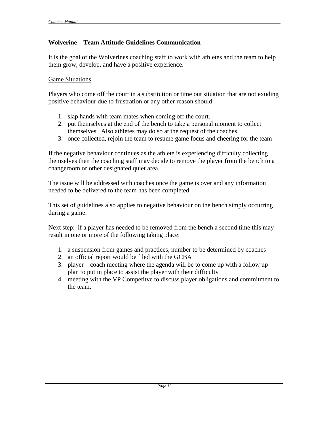### **Wolverine – Team Attitude Guidelines Communication**

It is the goal of the Wolverines coaching staff to work with athletes and the team to help them grow, develop, and have a positive experience.

### Game Situations

Players who come off the court in a substitution or time out situation that are not exuding positive behaviour due to frustration or any other reason should:

- 1. slap hands with team mates when coming off the court.
- 2. put themselves at the end of the bench to take a personal moment to collect themselves. Also athletes may do so at the request of the coaches.
- 3. once collected, rejoin the team to resume game focus and cheering for the team

If the negative behaviour continues as the athlete is experiencing difficulty collecting themselves then the coaching staff may decide to remove the player from the bench to a changeroom or other designated quiet area.

The issue will be addressed with coaches once the game is over and any information needed to be delivered to the team has been completed.

This set of guidelines also applies to negative behaviour on the bench simply occurring during a game.

Next step: if a player has needed to be removed from the bench a second time this may result in one or more of the following taking place:

- 1. a suspension from games and practices, number to be determined by coaches
- 2. an official report would be filed with the GCBA
- 3. player coach meeting where the agenda will be to come up with a follow up plan to put in place to assist the player with their difficulty
- 4. meeting with the VP Competitve to discuss player obligations and commitment to the team.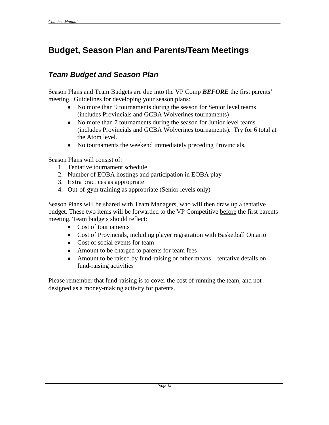# <span id="page-16-0"></span>**Budget, Season Plan and Parents/Team Meetings**

## <span id="page-16-1"></span>*Team Budget and Season Plan*

Season Plans and Team Budgets are due into the VP Comp *BEFORE* the first parents' meeting. Guidelines for developing your season plans:

- No more than 9 tournaments during the season for Senior level teams (includes Provincials and GCBA Wolverines tournaments)
- No more than 7 tournaments during the season for Junior level teams (includes Provincials and GCBA Wolverines tournaments). Try for 6 total at the Atom level.
- No tournaments the weekend immediately preceding Provincials.

Season Plans will consist of:

- 1. Tentative tournament schedule
- 2. Number of EOBA hostings and participation in EOBA play
- 3. Extra practices as appropriate
- 4. Out-of-gym training as appropriate (Senior levels only)

Season Plans will be shared with Team Managers, who will then draw up a tentative budget. These two items will be forwarded to the VP Competitive before the first parents meeting. Team budgets should reflect:

- Cost of tournaments
- Cost of Provincials, including player registration with Basketball Ontario
- Cost of social events for team
- Amount to be charged to parents for team fees
- Amount to be raised by fund-raising or other means tentative details on fund-raising activities

Please remember that fund-raising is to cover the cost of running the team, and not designed as a money-making activity for parents.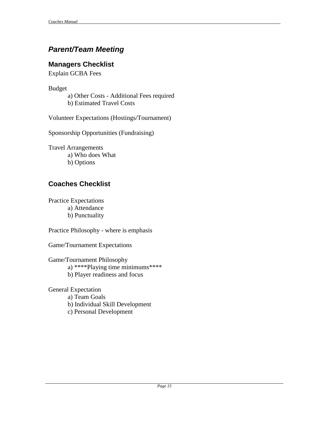## <span id="page-17-0"></span>*Parent/Team Meeting*

### <span id="page-17-1"></span>**Managers Checklist**

Explain GCBA Fees

Budget

a) Other Costs - Additional Fees required b) Estimated Travel Costs

Volunteer Expectations (Hostings/Tournament)

Sponsorship Opportunities (Fundraising)

Travel Arrangements a) Who does What b) Options

## <span id="page-17-2"></span>**Coaches Checklist**

Practice Expectations a) Attendance b) Punctuality

Practice Philosophy - where is emphasis

Game/Tournament Expectations

Game/Tournament Philosophy a) \*\*\*\*Playing time minimums\*\*\*\* b) Player readiness and focus

General Expectation

- a) Team Goals
- b) Individual Skill Development
- c) Personal Development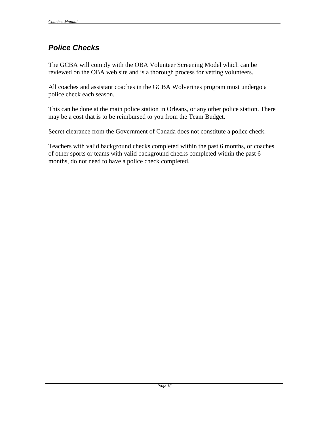## <span id="page-18-0"></span>*Police Checks*

The GCBA will comply with the OBA Volunteer Screening Model which can be reviewed on the OBA web site and is a thorough process for vetting volunteers.

All coaches and assistant coaches in the GCBA Wolverines program must undergo a police check each season.

This can be done at the main police station in Orleans, or any other police station. There may be a cost that is to be reimbursed to you from the Team Budget.

Secret clearance from the Government of Canada does not constitute a police check.

Teachers with valid background checks completed within the past 6 months, or coaches of other sports or teams with valid background checks completed within the past 6 months, do not need to have a police check completed.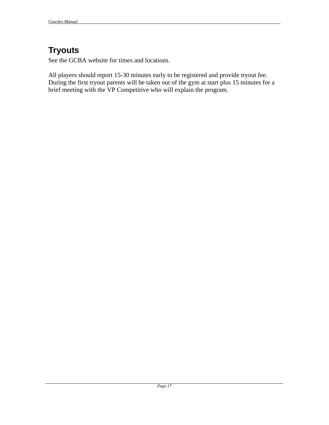# <span id="page-19-0"></span>**Tryouts**

See the GCBA website for times and locations.

All players should report 15-30 minutes early to be registered and provide tryout fee. During the first tryout parents will be taken out of the gym at start plus 15 minutes for a brief meeting with the VP Competitive who will explain the program.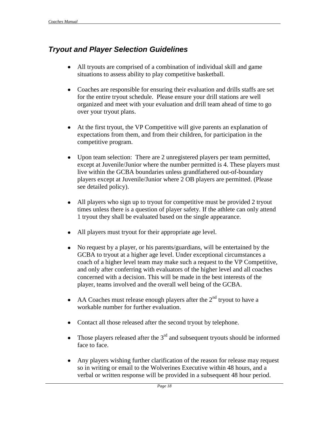## <span id="page-20-0"></span>*Tryout and Player Selection Guidelines*

- $\bullet$ All tryouts are comprised of a combination of individual skill and game situations to assess ability to play competitive basketball.
- $\bullet$ Coaches are responsible for ensuring their evaluation and drills staffs are set for the entire tryout schedule. Please ensure your drill stations are well organized and meet with your evaluation and drill team ahead of time to go over your tryout plans.
- At the first tryout, the VP Competitive will give parents an explanation of  $\bullet$ expectations from them, and from their children, for participation in the competitive program.
- $\bullet$ Upon team selection: There are 2 unregistered players per team permitted, except at Juvenile/Junior where the number permitted is 4. These players must live within the GCBA boundaries unless grandfathered out-of-boundary players except at Juvenile/Junior where 2 OB players are permitted. (Please see detailed policy).
- All players who sign up to tryout for competitive must be provided 2 tryout  $\bullet$ times unless there is a question of player safety. If the athlete can only attend 1 tryout they shall be evaluated based on the single appearance.
- All players must tryout for their appropriate age level.
- No request by a player, or his parents/guardians, will be entertained by the  $\bullet$ GCBA to tryout at a higher age level. Under exceptional circumstances a coach of a higher level team may make such a request to the VP Competitive, and only after conferring with evaluators of the higher level and all coaches concerned with a decision. This will be made in the best interests of the player, teams involved and the overall well being of the GCBA.
- AA Coaches must release enough players after the  $2<sup>nd</sup>$  tryout to have a workable number for further evaluation.
- Contact all those released after the second tryout by telephone.
- Those players released after the  $3<sup>rd</sup>$  and subsequent tryouts should be informed  $\bullet$ face to face.
- $\bullet$ Any players wishing further clarification of the reason for release may request so in writing or email to the Wolverines Executive within 48 hours, and a verbal or written response will be provided in a subsequent 48 hour period.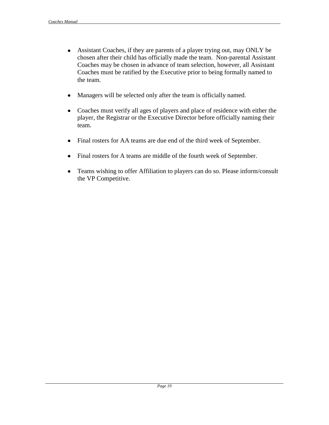- Assistant Coaches, if they are parents of a player trying out, may ONLY be chosen after their child has officially made the team. Non-parental Assistant Coaches may be chosen in advance of team selection, however, all Assistant Coaches must be ratified by the Executive prior to being formally named to the team.
- Managers will be selected only after the team is officially named.  $\bullet$
- Coaches must verify all ages of players and place of residence with either the  $\bullet$ player, the Registrar or the Executive Director before officially naming their team.
- Final rosters for AA teams are due end of the third week of September.  $\bullet$
- Final rosters for A teams are middle of the fourth week of September.
- Teams wishing to offer Affiliation to players can do so. Please inform/consult  $\bullet$ the VP Competitive.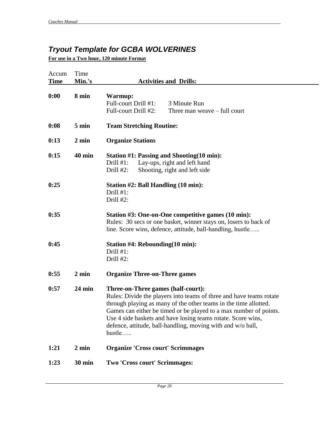# <span id="page-22-0"></span>*Tryout Template for GCBA WOLVERINES*

**For use in a Two hour, 120 minute Format**

| Accum<br><b>Time</b> | Time<br>Min.'s  | <b>Activities and Drills:</b>                                                                                                                                                                                                                                                                                                                                                               |
|----------------------|-----------------|---------------------------------------------------------------------------------------------------------------------------------------------------------------------------------------------------------------------------------------------------------------------------------------------------------------------------------------------------------------------------------------------|
| 0:00                 | 8 min           | Warmup:<br>Full-court Drill #1:<br>3 Minute Run<br>Full-court Drill #2:<br>Three man weave – full court                                                                                                                                                                                                                                                                                     |
| 0:08                 | $5 \text{ min}$ | <b>Team Stretching Routine:</b>                                                                                                                                                                                                                                                                                                                                                             |
| 0:13                 | $2 \text{ min}$ | <b>Organize Stations</b>                                                                                                                                                                                                                                                                                                                                                                    |
| 0:15                 | <b>40 min</b>   | <b>Station #1: Passing and Shooting(10 min):</b><br>Drill $#1$ :<br>Lay-ups, right and left hand<br>Drill $#2$ :<br>Shooting, right and left side                                                                                                                                                                                                                                           |
| 0:25                 |                 | Station #2: Ball Handling (10 min):<br>Drill $#1$ :<br>Drill #2:                                                                                                                                                                                                                                                                                                                            |
| 0:35                 |                 | Station #3: One-on-One competitive games (10 min):<br>Rules: 30 secs or one basket, winner stays on, losers to back of<br>line. Score wins, defence, attitude, ball-handling, hustle                                                                                                                                                                                                        |
| 0:45                 |                 | Station #4: Rebounding(10 min):<br>Drill $#1$ :<br>Drill #2:                                                                                                                                                                                                                                                                                                                                |
| 0:55                 | $2 \text{ min}$ | <b>Organize Three-on-Three games</b>                                                                                                                                                                                                                                                                                                                                                        |
| 0:57                 | <b>24 min</b>   | Three-on-Three games (half-court):<br>Rules: Divide the players into teams of three and have teams rotate<br>through playing as many of the other teams in the time allotted.<br>Games can either be timed or be played to a max number of points.<br>Use 4 side baskets and have losing teams rotate. Score wins,<br>defence, attitude, ball-handling, moving with and w/o ball,<br>hustle |
| 1:21                 | 2 min           | <b>Organize 'Cross court' Scrimmages</b>                                                                                                                                                                                                                                                                                                                                                    |
| 1:23                 | <b>30 min</b>   | Two 'Cross court' Scrimmages:                                                                                                                                                                                                                                                                                                                                                               |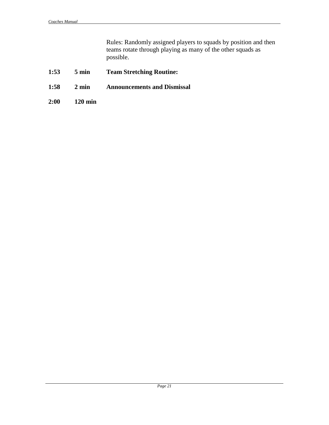Rules: Randomly assigned players to squads by position and then teams rotate through playing as many of the other squads as possible.

- **1:53 5 min Team Stretching Routine:**
- **1:58 2 min Announcements and Dismissal**
- **2:00 120 min**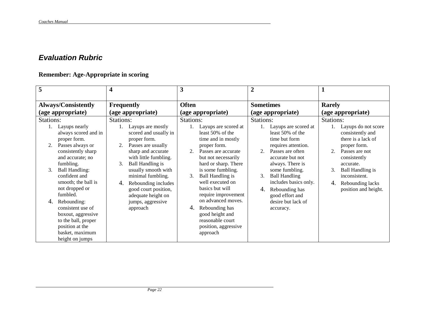## *Evaluation Rubric*

### **Remember: Age-Appropriate in scoring**

<span id="page-24-0"></span>

| 5                                                                                                                                                                                                                                            | 4                                                                                                                                                                                                                                                                                    | 3                                                                                                                                                                                                                                                                                  | $\boldsymbol{2}$                                                                                                                                                                                                                                                      | $\mathbf 1$                                                                                                                                                                                                                                         |  |  |
|----------------------------------------------------------------------------------------------------------------------------------------------------------------------------------------------------------------------------------------------|--------------------------------------------------------------------------------------------------------------------------------------------------------------------------------------------------------------------------------------------------------------------------------------|------------------------------------------------------------------------------------------------------------------------------------------------------------------------------------------------------------------------------------------------------------------------------------|-----------------------------------------------------------------------------------------------------------------------------------------------------------------------------------------------------------------------------------------------------------------------|-----------------------------------------------------------------------------------------------------------------------------------------------------------------------------------------------------------------------------------------------------|--|--|
|                                                                                                                                                                                                                                              |                                                                                                                                                                                                                                                                                      |                                                                                                                                                                                                                                                                                    |                                                                                                                                                                                                                                                                       |                                                                                                                                                                                                                                                     |  |  |
| <b>Always/Consistently</b>                                                                                                                                                                                                                   | <b>Frequently</b>                                                                                                                                                                                                                                                                    | <b>Often</b>                                                                                                                                                                                                                                                                       | <b>Sometimes</b>                                                                                                                                                                                                                                                      | <b>Rarely</b>                                                                                                                                                                                                                                       |  |  |
| (age appropriate)                                                                                                                                                                                                                            | (age appropriate)                                                                                                                                                                                                                                                                    | (age appropriate)                                                                                                                                                                                                                                                                  | (age appropriate)                                                                                                                                                                                                                                                     | (age appropriate)                                                                                                                                                                                                                                   |  |  |
| Stations:<br>Layups nearly<br>always scored and in<br>proper form.<br>Passes always or<br>2.<br>consistently sharp<br>and accurate; no<br>fumbling.<br>3.<br><b>Ball Handling:</b><br>confident and<br>smooth; the ball is<br>not dropped or | Stations:<br>Layups are mostly<br>scored and usually in<br>proper form.<br>Passes are usually<br>2.<br>sharp and accurate<br>with little fumbling.<br><b>Ball Handling is</b><br>3.<br>usually smooth with<br>minimal fumbling.<br>Rebounding includes<br>4.<br>good court position, | Stations:<br>Layups are scored at<br>least 50% of the<br>time and in mostly<br>proper form.<br>Passes are accurate<br>2.<br>but not necessarily<br>hard or sharp. There<br>is some fumbling.<br><b>Ball Handling is</b><br>$\mathfrak{Z}$ .<br>well executed on<br>basics but will | Stations:<br>Layups are scored at<br>least 50% of the<br>time but form<br>requires attention.<br>Passes are often<br>$\mathcal{D}$<br>accurate but not<br>always. There is<br>some fumbling.<br><b>Ball Handling</b><br>3.<br>includes basics only.<br>Rebounding has | Stations:<br>Layups do not score<br>consistently and<br>there is a lack of<br>proper form.<br>2.<br>Passes are not<br>consistently<br>accurate.<br>3.<br><b>Ball Handling is</b><br>inconsistent.<br>Rebounding lacks<br>4.<br>position and height. |  |  |
| fumbled.<br>Rebounding:<br>4.<br>consistent use of<br>boxout, aggressive<br>to the ball, proper<br>position at the<br>basket, maximum<br>height on jumps                                                                                     | adequate height on<br>jumps, aggressive<br>approach                                                                                                                                                                                                                                  | require improvement<br>on advanced moves.<br>Rebounding has<br>4.<br>good height and<br>reasonable court<br>position, aggressive<br>approach                                                                                                                                       | good effort and<br>desire but lack of<br>accuracy.                                                                                                                                                                                                                    |                                                                                                                                                                                                                                                     |  |  |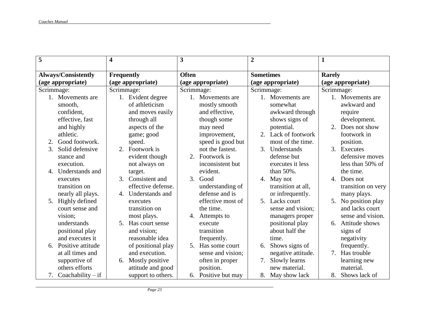| 5                          |                     | 4                 |                    | 3                |                   | $\overline{2}$   |                    | $\mathbf{1}$                   |                    |
|----------------------------|---------------------|-------------------|--------------------|------------------|-------------------|------------------|--------------------|--------------------------------|--------------------|
| <b>Always/Consistently</b> |                     | <b>Frequently</b> |                    | <b>Often</b>     |                   | <b>Sometimes</b> |                    | <b>Rarely</b>                  |                    |
| (age appropriate)          |                     |                   | (age appropriate)  |                  | (age appropriate) |                  | (age appropriate)  | (age appropriate)              |                    |
| Scrimmage:                 |                     | Scrimmage:        |                    | Scrimmage:       |                   | Scrimmage:       |                    | Scrimmage:                     |                    |
| 1. Movements are           |                     |                   | 1. Evident degree  |                  | Movements are     |                  | 1. Movements are   |                                | Movements are      |
| smooth,                    |                     |                   | of athleticism     |                  | mostly smooth     |                  | somewhat           |                                | awkward and        |
| confident.                 |                     |                   | and moves easily   |                  | and effective,    |                  | awkward through    |                                | require            |
| effective, fast            |                     |                   | through all        |                  | though some       |                  | shows signs of     |                                | development.       |
| and highly                 |                     |                   | aspects of the     |                  | may need          |                  | potential.         |                                | Does not show      |
| athletic.                  |                     |                   | game; good         |                  | improvement,      | 2.               | Lack of footwork   |                                | footwork in        |
| Good footwork.<br>2.       |                     |                   | speed.             |                  | speed is good but |                  | most of the time.  |                                | position.          |
| Solid defensive<br>3.      |                     | 2.                | Footwork is        |                  | not the fastest.  | 3.               | Understands        | 3.                             | Executes           |
| stance and                 |                     |                   | evident though     | 2.               | Footwork is       |                  | defense but        |                                | defensive moves    |
| execution.                 |                     |                   | not always on      |                  | inconsistent but  |                  | executes it less   |                                | less than 50% of   |
| 4.                         | Understands and     |                   | target.            |                  | evident.          |                  | than 50%.          |                                | the time.          |
| executes                   |                     | 3.                | Consistent and     | $\mathfrak{Z}$ . | Good              | 4.               | May not            | $\mathcal{A}_{\cdot}$          | Does not           |
| transition on              |                     |                   | effective defense. |                  | understanding of  |                  | transition at all, |                                | transition on very |
| nearly all plays.          |                     | 4.                | Understands and    |                  | defense and is    |                  | or infrequently.   |                                | many plays.        |
| Highly defined<br>5.       |                     |                   | executes           |                  | effective most of |                  | 5. Lacks court     | 5.                             | No position play   |
| court sense and            |                     |                   | transition on      |                  | the time.         |                  | sense and vision;  |                                | and lacks court    |
| vision;                    |                     |                   | most plays.        | 4.               | Attempts to       |                  | managers proper    |                                | sense and vision.  |
| understands                |                     | .5                | Has court sense    |                  | execute           |                  | positional play    | 6.                             | Attitude shows     |
| positional play            |                     |                   | and vision;        |                  | transition        |                  | about half the     |                                | signs of           |
| and executes it            |                     |                   | reasonable idea    |                  | frequently.       |                  | time.              |                                | negativity         |
| Positive attitude<br>6.    |                     |                   | of positional play | 5.               | Has some court    | 6.               | Shows signs of     |                                | frequently.        |
| at all times and           |                     |                   | and execution.     |                  | sense and vision; |                  | negative attitude. | $7_{\scriptscriptstyle{\sim}}$ | Has trouble        |
| supportive of              |                     | 6.                | Mostly positive    |                  | often in proper   | 7.               | Slowly learns      |                                | learning new       |
| others efforts             |                     |                   | attitude and good  |                  | position.         |                  | new material.      |                                | material.          |
|                            | Coachability $-$ if |                   | support to others. | 6.               | Positive but may  |                  | 8. May show lack   |                                | 8. Shows lack of   |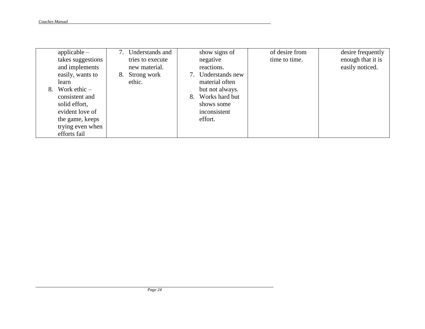|    | applicable $-$    |    | Understands and  |    | show signs of   | of desire from | desire frequently |
|----|-------------------|----|------------------|----|-----------------|----------------|-------------------|
|    | takes suggestions |    | tries to execute |    | negative        | time to time.  | enough that it is |
|    | and implements    |    | new material.    |    | reactions.      |                | easily noticed.   |
|    | easily, wants to  | 8. | Strong work      |    | Understands new |                |                   |
|    | learn             |    | ethic.           |    | material often  |                |                   |
| 8. | Work ethic $-$    |    |                  |    | but not always. |                |                   |
|    | consistent and    |    |                  | 8. | Works hard but  |                |                   |
|    | solid effort,     |    |                  |    | shows some      |                |                   |
|    | evident love of   |    |                  |    | inconsistent    |                |                   |
|    | the game, keeps   |    |                  |    | effort.         |                |                   |
|    | trying even when  |    |                  |    |                 |                |                   |
|    | efforts fail      |    |                  |    |                 |                |                   |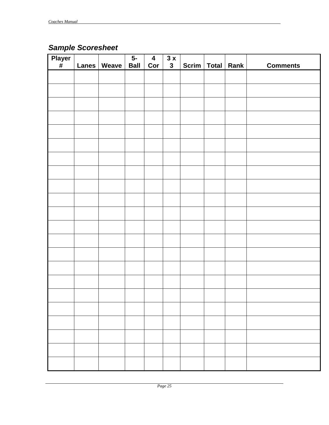# <span id="page-27-0"></span>*Sample Scoresheet*

| Player<br># | <b>Lanes</b> | Weave | $5 -$<br><b>Ball</b> | $\overline{\mathbf{4}}$<br>Cor | $\overline{3}x$<br>$\mathbf{3}$ | Scrim | Total Rank | <b>Comments</b> |
|-------------|--------------|-------|----------------------|--------------------------------|---------------------------------|-------|------------|-----------------|
|             |              |       |                      |                                |                                 |       |            |                 |
|             |              |       |                      |                                |                                 |       |            |                 |
|             |              |       |                      |                                |                                 |       |            |                 |
|             |              |       |                      |                                |                                 |       |            |                 |
|             |              |       |                      |                                |                                 |       |            |                 |
|             |              |       |                      |                                |                                 |       |            |                 |
|             |              |       |                      |                                |                                 |       |            |                 |
|             |              |       |                      |                                |                                 |       |            |                 |
|             |              |       |                      |                                |                                 |       |            |                 |
|             |              |       |                      |                                |                                 |       |            |                 |
|             |              |       |                      |                                |                                 |       |            |                 |
|             |              |       |                      |                                |                                 |       |            |                 |
|             |              |       |                      |                                |                                 |       |            |                 |
|             |              |       |                      |                                |                                 |       |            |                 |
|             |              |       |                      |                                |                                 |       |            |                 |
|             |              |       |                      |                                |                                 |       |            |                 |
|             |              |       |                      |                                |                                 |       |            |                 |
|             |              |       |                      |                                |                                 |       |            |                 |
|             |              |       |                      |                                |                                 |       |            |                 |
|             |              |       |                      |                                |                                 |       |            |                 |
|             |              |       |                      |                                |                                 |       |            |                 |
|             |              |       |                      |                                |                                 |       |            |                 |
|             |              |       |                      |                                |                                 |       |            |                 |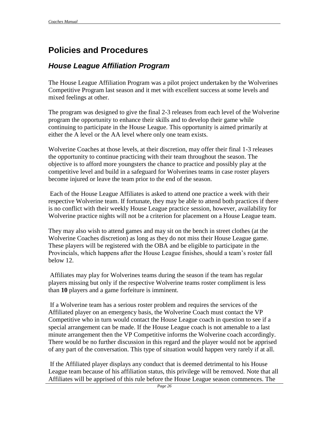# <span id="page-28-0"></span>**Policies and Procedures**

### <span id="page-28-1"></span>*House League Affiliation Program*

The House League Affiliation Program was a pilot project undertaken by the Wolverines Competitive Program last season and it met with excellent success at some levels and mixed feelings at other.

The program was designed to give the final 2-3 releases from each level of the Wolverine program the opportunity to enhance their skills and to develop their game while continuing to participate in the House League. This opportunity is aimed primarily at either the A level or the AA level where only one team exists.

Wolverine Coaches at those levels, at their discretion, may offer their final 1-3 releases the opportunity to continue practicing with their team throughout the season. The objective is to afford more youngsters the chance to practice and possibly play at the competitive level and build in a safeguard for Wolverines teams in case roster players become injured or leave the team prior to the end of the season.

Each of the House League Affiliates is asked to attend one practice a week with their respective Wolverine team. If fortunate, they may be able to attend both practices if there is no conflict with their weekly House League practice session, however, availability for Wolverine practice nights will not be a criterion for placement on a House League team.

They may also wish to attend games and may sit on the bench in street clothes (at the Wolverine Coaches discretion) as long as they do not miss their House League game. These players will be registered with the OBA and be eligible to participate in the Provincials, which happens after the House League finishes, should a team's roster fall below 12.

Affiliates may play for Wolverines teams during the season if the team has regular players missing but only if the respective Wolverine teams roster compliment is less than **10** players and a game forfeiture is imminent.

If a Wolverine team has a serious roster problem and requires the services of the Affiliated player on an emergency basis, the Wolverine Coach must contact the VP Competitive who in turn would contact the House League coach in question to see if a special arrangement can be made. If the House League coach is not amenable to a last minute arrangement then the VP Competitive informs the Wolverine coach accordingly. There would be no further discussion in this regard and the player would not be apprised of any part of the conversation. This type of situation would happen very rarely if at all.

If the Affiliated player displays any conduct that is deemed detrimental to his House League team because of his affiliation status, this privilege will be removed. Note that all Affiliates will be apprised of this rule before the House League season commences. The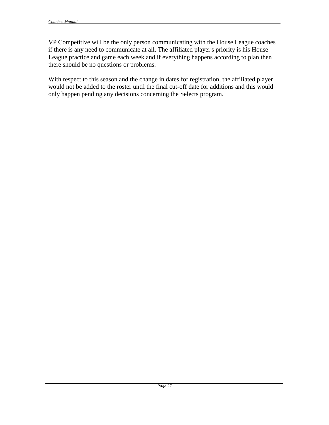VP Competitive will be the only person communicating with the House League coaches if there is any need to communicate at all. The affiliated player's priority is his House League practice and game each week and if everything happens according to plan then there should be no questions or problems.

With respect to this season and the change in dates for registration, the affiliated player would not be added to the roster until the final cut-off date for additions and this would only happen pending any decisions concerning the Selects program.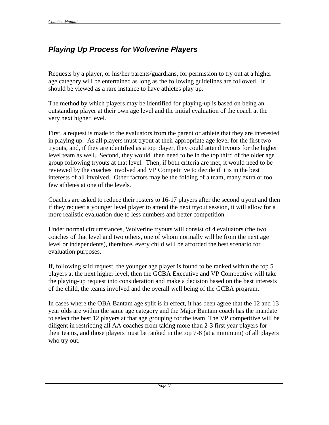# <span id="page-30-0"></span>*Playing Up Process for Wolverine Players*

Requests by a player, or his/her parents/guardians, for permission to try out at a higher age category will be entertained as long as the following guidelines are followed. It should be viewed as a rare instance to have athletes play up.

The method by which players may be identified for playing-up is based on being an outstanding player at their own age level and the initial evaluation of the coach at the very next higher level.

First, a request is made to the evaluators from the parent or athlete that they are interested in playing up. As all players must tryout at their appropriate age level for the first two tryouts, and, if they are identified as a top player, they could attend tryouts for the higher level team as well. Second, they would then need to be in the top third of the older age group following tryouts at that level. Then, if both criteria are met, it would need to be reviewed by the coaches involved and VP Competitive to decide if it is in the best interests of all involved. Other factors may be the folding of a team, many extra or too few athletes at one of the levels.

Coaches are asked to reduce their rosters to 16-17 players after the second tryout and then if they request a younger level player to attend the next tryout session, it will allow for a more realistic evaluation due to less numbers and better competition.

Under normal circumstances, Wolverine tryouts will consist of 4 evaluators (the two coaches of that level and two others, one of whom normally will be from the next age level or independents), therefore, every child will be afforded the best scenario for evaluation purposes.

If, following said request, the younger age player is found to be ranked within the top 5 players at the next higher level, then the GCBA Executive and VP Competitive will take the playing-up request into consideration and make a decision based on the best interests of the child, the teams involved and the overall well being of the GCBA program.

In cases where the OBA Bantam age split is in effect, it has been agree that the 12 and 13 year olds are within the same age category and the Major Bantam coach has the mandate to select the best 12 players at that age grouping for the team. The VP competitive will be diligent in restricting all AA coaches from taking more than 2-3 first year players for their teams, and those players must be ranked in the top 7-8 (at a minimum) of all players who try out.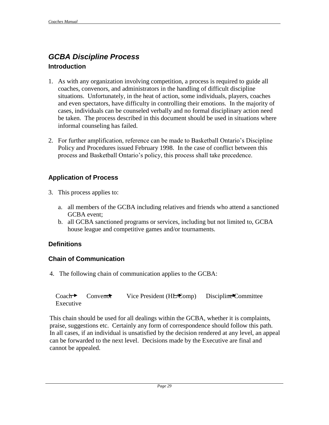## <span id="page-31-0"></span>*GCBA Discipline Process* **Introduction**

- 1. As with any organization involving competition, a process is required to guide all coaches, convenors, and administrators in the handling of difficult discipline situations. Unfortunately, in the heat of action, some individuals, players, coaches and even spectators, have difficulty in controlling their emotions. In the majority of cases, individuals can be counseled verbally and no formal disciplinary action need be taken. The process described in this document should be used in situations where informal counseling has failed.
- 2. For further amplification, reference can be made to Basketball Ontario's Discipline Policy and Procedures issued February 1998. In the case of conflict between this process and Basketball Ontario's policy, this process shall take precedence.

### **Application of Process**

- 3. This process applies to:
	- a. all members of the GCBA including relatives and friends who attend a sanctioned GCBA event;
	- b. all GCBA sanctioned programs or services, including but not limited to, GCBA house league and competitive games and/or tournaments.

### **Definitions**

### **Chain of Communication**

4. The following chain of communication applies to the GCBA:

|           | $Coach$ $Converdot$ | Discipline Committee |
|-----------|---------------------|----------------------|
| Executive |                     |                      |

This chain should be used for all dealings within the GCBA, whether it is complaints, praise, suggestions etc. Certainly any form of correspondence should follow this path. In all cases, if an individual is unsatisfied by the decision rendered at any level, an appeal can be forwarded to the next level. Decisions made by the Executive are final and cannot be appealed.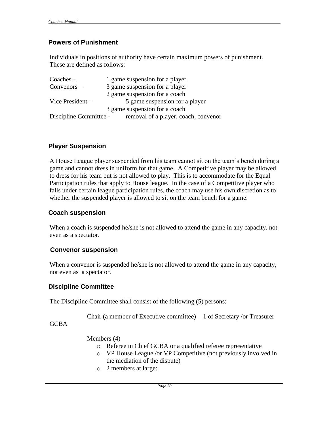### **Powers of Punishment**

Individuals in positions of authority have certain maximum powers of punishment. These are defined as follows:

| $Coaches -$            | 1 game suspension for a player.      |  |
|------------------------|--------------------------------------|--|
| Convenors –            | 3 game suspension for a player       |  |
|                        | 2 game suspension for a coach        |  |
| Vice President $-$     | 5 game suspension for a player       |  |
|                        | 3 game suspension for a coach        |  |
| Discipline Committee - | removal of a player, coach, convenor |  |

### **Player Suspension**

A House League player suspended from his team cannot sit on the team's bench during a game and cannot dress in uniform for that game. A Competitive player may be allowed to dress for his team but is not allowed to play. This is to accommodate for the Equal Participation rules that apply to House league. In the case of a Competitive player who falls under certain league participation rules, the coach may use his own discretion as to whether the suspended player is allowed to sit on the team bench for a game.

### **Coach suspension**

When a coach is suspended he/she is not allowed to attend the game in any capacity, not even as a spectator.

### **Convenor suspension**

When a convenor is suspended he/she is not allowed to attend the game in any capacity, not even as a spectator.

### **Discipline Committee**

The Discipline Committee shall consist of the following (5) persons:

Chair (a member of Executive committee) 1 of Secretary /or Treasurer

GCBA

Members (4)

- o Referee in Chief GCBA or a qualified referee representative
- o VP House League /or VP Competitive (not previously involved in the mediation of the dispute)
- o 2 members at large: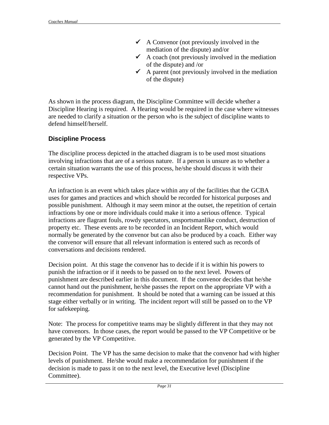- $\triangleleft$  A Convenor (not previously involved in the mediation of the dispute) and/or
- $\checkmark$  A coach (not previously involved in the mediation of the dispute) and /or
- $\checkmark$  A parent (not previously involved in the mediation of the dispute)

As shown in the process diagram, the Discipline Committee will decide whether a Discipline Hearing is required. A Hearing would be required in the case where witnesses are needed to clarify a situation or the person who is the subject of discipline wants to defend himself/herself.

### **Discipline Process**

The discipline process depicted in the attached diagram is to be used most situations involving infractions that are of a serious nature. If a person is unsure as to whether a certain situation warrants the use of this process, he/she should discuss it with their respective VPs.

An infraction is an event which takes place within any of the facilities that the GCBA uses for games and practices and which should be recorded for historical purposes and possible punishment. Although it may seem minor at the outset, the repetition of certain infractions by one or more individuals could make it into a serious offence. Typical infractions are flagrant fouls, rowdy spectators, unsportsmanlike conduct, destruction of property etc. These events are to be recorded in an Incident Report, which would normally be generated by the convenor but can also be produced by a coach. Either way the convenor will ensure that all relevant information is entered such as records of conversations and decisions rendered.

Decision point. At this stage the convenor has to decide if it is within his powers to punish the infraction or if it needs to be passed on to the next level. Powers of punishment are described earlier in this document. If the convenor decides that he/she cannot hand out the punishment, he/she passes the report on the appropriate VP with a recommendation for punishment. It should be noted that a warning can be issued at this stage either verbally or in writing. The incident report will still be passed on to the VP for safekeeping.

Note: The process for competitive teams may be slightly different in that they may not have convenors. In those cases, the report would be passed to the VP Competitive or be generated by the VP Competitive.

Decision Point. The VP has the same decision to make that the convenor had with higher levels of punishment. He/she would make a recommendation for punishment if the decision is made to pass it on to the next level, the Executive level (Discipline Committee).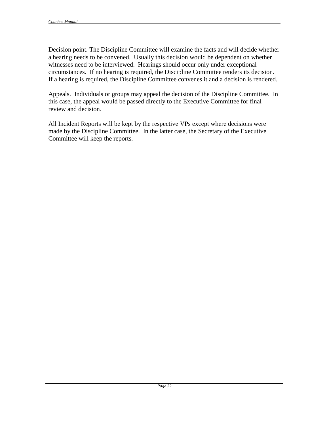Decision point. The Discipline Committee will examine the facts and will decide whether a hearing needs to be convened. Usually this decision would be dependent on whether witnesses need to be interviewed. Hearings should occur only under exceptional circumstances. If no hearing is required, the Discipline Committee renders its decision. If a hearing is required, the Discipline Committee convenes it and a decision is rendered.

Appeals. Individuals or groups may appeal the decision of the Discipline Committee. In this case, the appeal would be passed directly to the Executive Committee for final review and decision.

All Incident Reports will be kept by the respective VPs except where decisions were made by the Discipline Committee. In the latter case, the Secretary of the Executive Committee will keep the reports.